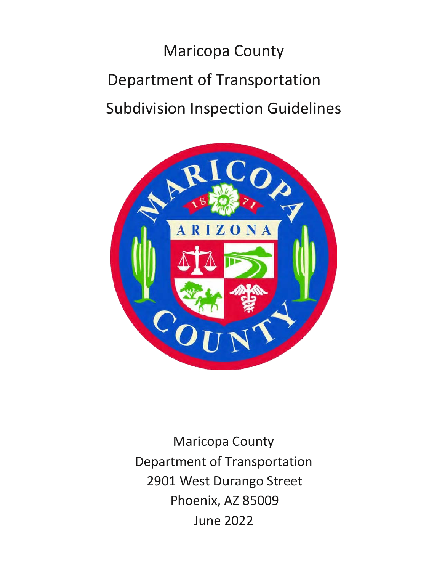# Maricopa County Department of Transportation Subdivision Inspection Guidelines



Maricopa County Department of Transportation 2901 West Durango Street Phoenix, AZ 85009 June 2022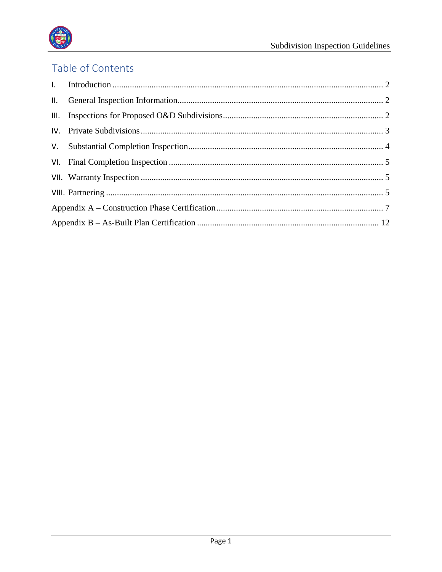

# Table of Contents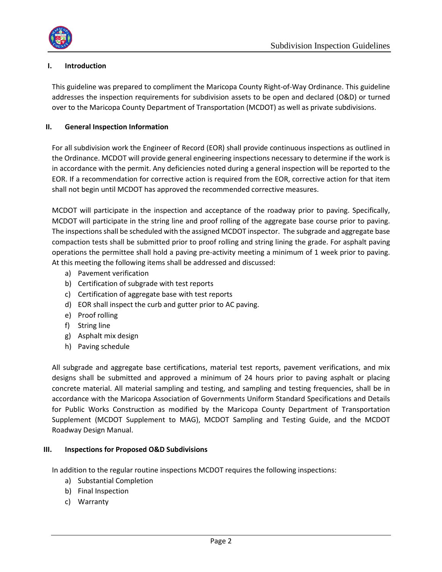

# <span id="page-2-0"></span>**I. Introduction**

This guideline was prepared to compliment the Maricopa County Right-of-Way Ordinance. This guideline addresses the inspection requirements for subdivision assets to be open and declared (O&D) or turned over to the Maricopa County Department of Transportation (MCDOT) as well as private subdivisions.

## <span id="page-2-1"></span>**II. General Inspection Information**

For all subdivision work the Engineer of Record (EOR) shall provide continuous inspections as outlined in the Ordinance. MCDOT will provide general engineering inspections necessary to determine if the work is in accordance with the permit. Any deficiencies noted during a general inspection will be reported to the EOR. If a recommendation for corrective action is required from the EOR, corrective action for that item shall not begin until MCDOT has approved the recommended corrective measures.

MCDOT will participate in the inspection and acceptance of the roadway prior to paving. Specifically, MCDOT will participate in the string line and proof rolling of the aggregate base course prior to paving. The inspections shall be scheduled with the assigned MCDOT inspector. The subgrade and aggregate base compaction tests shall be submitted prior to proof rolling and string lining the grade. For asphalt paving operations the permittee shall hold a paving pre-activity meeting a minimum of 1 week prior to paving. At this meeting the following items shall be addressed and discussed:

- a) Pavement verification
- b) Certification of subgrade with test reports
- c) Certification of aggregate base with test reports
- d) EOR shall inspect the curb and gutter prior to AC paving.
- e) Proof rolling
- f) String line
- g) Asphalt mix design
- h) Paving schedule

All subgrade and aggregate base certifications, material test reports, pavement verifications, and mix designs shall be submitted and approved a minimum of 24 hours prior to paving asphalt or placing concrete material. All material sampling and testing, and sampling and testing frequencies, shall be in accordance with the Maricopa Association of Governments Uniform Standard Specifications and Details for Public Works Construction as modified by the Maricopa County Department of Transportation Supplement (MCDOT Supplement to MAG), MCDOT Sampling and Testing Guide, and the MCDOT Roadway Design Manual.

#### <span id="page-2-2"></span>**III. Inspections for Proposed O&D Subdivisions**

In addition to the regular routine inspections MCDOT requires the following inspections:

- a) Substantial Completion
- b) Final Inspection
- c) Warranty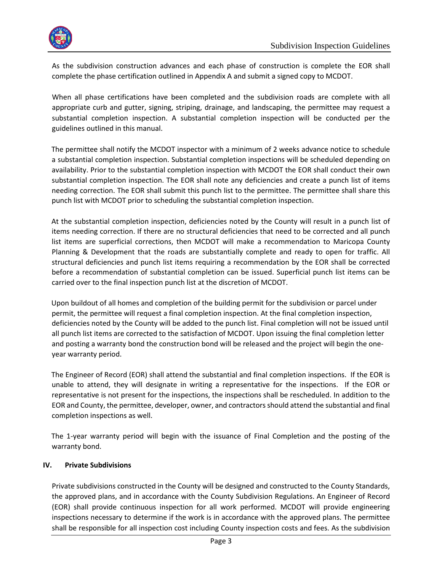

As the subdivision construction advances and each phase of construction is complete the EOR shall complete the phase certification outlined in Appendix A and submit a signed copy to MCDOT.

When all phase certifications have been completed and the subdivision roads are complete with all appropriate curb and gutter, signing, striping, drainage, and landscaping, the permittee may request a substantial completion inspection. A substantial completion inspection will be conducted per the guidelines outlined in this manual.

The permittee shall notify the MCDOT inspector with a minimum of 2 weeks advance notice to schedule a substantial completion inspection. Substantial completion inspections will be scheduled depending on availability. Prior to the substantial completion inspection with MCDOT the EOR shall conduct their own substantial completion inspection. The EOR shall note any deficiencies and create a punch list of items needing correction. The EOR shall submit this punch list to the permittee. The permittee shall share this punch list with MCDOT prior to scheduling the substantial completion inspection.

At the substantial completion inspection, deficiencies noted by the County will result in a punch list of items needing correction. If there are no structural deficiencies that need to be corrected and all punch list items are superficial corrections, then MCDOT will make a recommendation to Maricopa County Planning & Development that the roads are substantially complete and ready to open for traffic. All structural deficiencies and punch list items requiring a recommendation by the EOR shall be corrected before a recommendation of substantial completion can be issued. Superficial punch list items can be carried over to the final inspection punch list at the discretion of MCDOT.

Upon buildout of all homes and completion of the building permit for the subdivision or parcel under permit, the permittee will request a final completion inspection. At the final completion inspection, deficiencies noted by the County will be added to the punch list. Final completion will not be issued until all punch list items are corrected to the satisfaction of MCDOT. Upon issuing the final completion letter and posting a warranty bond the construction bond will be released and the project will begin the oneyear warranty period.

The Engineer of Record (EOR) shall attend the substantial and final completion inspections. If the EOR is unable to attend, they will designate in writing a representative for the inspections. If the EOR or representative is not present for the inspections, the inspections shall be rescheduled. In addition to the EOR and County, the permittee, developer, owner, and contractors should attend the substantial and final completion inspections as well.

The 1-year warranty period will begin with the issuance of Final Completion and the posting of the warranty bond.

#### <span id="page-3-0"></span>**IV. Private Subdivisions**

Private subdivisions constructed in the County will be designed and constructed to the County Standards, the approved plans, and in accordance with the County Subdivision Regulations. An Engineer of Record (EOR) shall provide continuous inspection for all work performed. MCDOT will provide engineering inspections necessary to determine if the work is in accordance with the approved plans. The permittee shall be responsible for all inspection cost including County inspection costs and fees. As the subdivision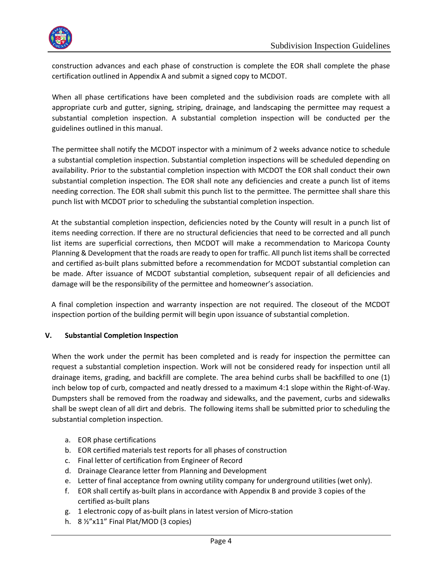

construction advances and each phase of construction is complete the EOR shall complete the phase certification outlined in Appendix A and submit a signed copy to MCDOT.

When all phase certifications have been completed and the subdivision roads are complete with all appropriate curb and gutter, signing, striping, drainage, and landscaping the permittee may request a substantial completion inspection. A substantial completion inspection will be conducted per the guidelines outlined in this manual.

The permittee shall notify the MCDOT inspector with a minimum of 2 weeks advance notice to schedule a substantial completion inspection. Substantial completion inspections will be scheduled depending on availability. Prior to the substantial completion inspection with MCDOT the EOR shall conduct their own substantial completion inspection. The EOR shall note any deficiencies and create a punch list of items needing correction. The EOR shall submit this punch list to the permittee. The permittee shall share this punch list with MCDOT prior to scheduling the substantial completion inspection.

At the substantial completion inspection, deficiencies noted by the County will result in a punch list of items needing correction. If there are no structural deficiencies that need to be corrected and all punch list items are superficial corrections, then MCDOT will make a recommendation to Maricopa County Planning & Development that the roads are ready to open for traffic. All punch list items shall be corrected and certified as-built plans submitted before a recommendation for MCDOT substantial completion can be made. After issuance of MCDOT substantial completion, subsequent repair of all deficiencies and damage will be the responsibility of the permittee and homeowner's association.

A final completion inspection and warranty inspection are not required. The closeout of the MCDOT inspection portion of the building permit will begin upon issuance of substantial completion.

#### <span id="page-4-0"></span>**V. Substantial Completion Inspection**

When the work under the permit has been completed and is ready for inspection the permittee can request a substantial completion inspection. Work will not be considered ready for inspection until all drainage items, grading, and backfill are complete. The area behind curbs shall be backfilled to one (1) inch below top of curb, compacted and neatly dressed to a maximum 4:1 slope within the Right-of-Way. Dumpsters shall be removed from the roadway and sidewalks, and the pavement, curbs and sidewalks shall be swept clean of all dirt and debris. The following items shall be submitted prior to scheduling the substantial completion inspection.

- a. EOR phase certifications
- b. EOR certified materials test reports for all phases of construction
- c. Final letter of certification from Engineer of Record
- d. Drainage Clearance letter from Planning and Development
- e. Letter of final acceptance from owning utility company for underground utilities (wet only).
- f. EOR shall certify as-built plans in accordance with Appendix B and provide 3 copies of the certified as-built plans
- g. 1 electronic copy of as-built plans in latest version of Micro-station
- h. 8 ½"x11" Final Plat/MOD (3 copies)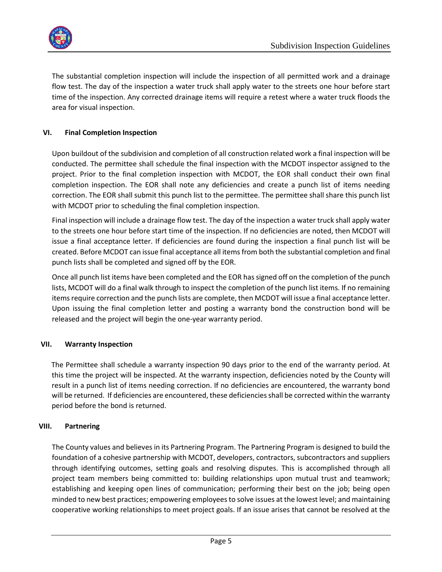

The substantial completion inspection will include the inspection of all permitted work and a drainage flow test. The day of the inspection a water truck shall apply water to the streets one hour before start time of the inspection. Any corrected drainage items will require a retest where a water truck floods the area for visual inspection.

## <span id="page-5-0"></span>**VI. Final Completion Inspection**

Upon buildout of the subdivision and completion of all construction related work a final inspection will be conducted. The permittee shall schedule the final inspection with the MCDOT inspector assigned to the project. Prior to the final completion inspection with MCDOT, the EOR shall conduct their own final completion inspection. The EOR shall note any deficiencies and create a punch list of items needing correction. The EOR shall submit this punch list to the permittee. The permittee shall share this punch list with MCDOT prior to scheduling the final completion inspection.

Final inspection will include a drainage flow test. The day of the inspection a water truck shall apply water to the streets one hour before start time of the inspection. If no deficiencies are noted, then MCDOT will issue a final acceptance letter. If deficiencies are found during the inspection a final punch list will be created. Before MCDOT can issue final acceptance all items from both the substantial completion and final punch lists shall be completed and signed off by the EOR.

Once all punch list items have been completed and the EOR has signed off on the completion of the punch lists, MCDOT will do a final walk through to inspect the completion of the punch list items. If no remaining items require correction and the punch lists are complete, then MCDOT will issue a final acceptance letter. Upon issuing the final completion letter and posting a warranty bond the construction bond will be released and the project will begin the one-year warranty period.

#### <span id="page-5-1"></span>**VII. Warranty Inspection**

The Permittee shall schedule a warranty inspection 90 days prior to the end of the warranty period. At this time the project will be inspected. At the warranty inspection, deficiencies noted by the County will result in a punch list of items needing correction. If no deficiencies are encountered, the warranty bond will be returned. If deficiencies are encountered, these deficiencies shall be corrected within the warranty period before the bond is returned.

#### <span id="page-5-2"></span>**VIII. Partnering**

The County values and believes in its Partnering Program. The Partnering Program is designed to build the foundation of a cohesive partnership with MCDOT, developers, contractors, subcontractors and suppliers through identifying outcomes, setting goals and resolving disputes. This is accomplished through all project team members being committed to: building relationships upon mutual trust and teamwork; establishing and keeping open lines of communication; performing their best on the job; being open minded to new best practices; empowering employees to solve issues at the lowest level; and maintaining cooperative working relationships to meet project goals. If an issue arises that cannot be resolved at the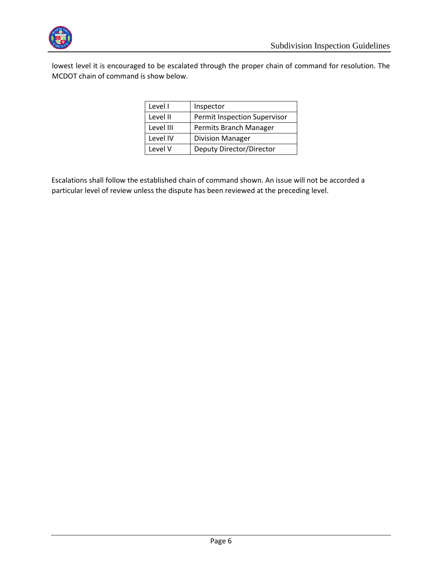

lowest level it is encouraged to be escalated through the proper chain of command for resolution. The MCDOT chain of command is show below.

| Level I   | Inspector                    |
|-----------|------------------------------|
| Level II  | Permit Inspection Supervisor |
| Level III | Permits Branch Manager       |
| Level IV  | <b>Division Manager</b>      |
| Level V   | Deputy Director/Director     |

Escalations shall follow the established chain of command shown. An issue will not be accorded a particular level of review unless the dispute has been reviewed at the preceding level.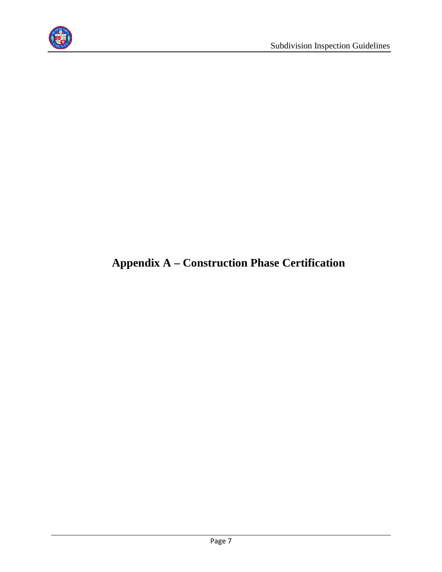

# <span id="page-7-0"></span>**Appendix A – Construction Phase Certification**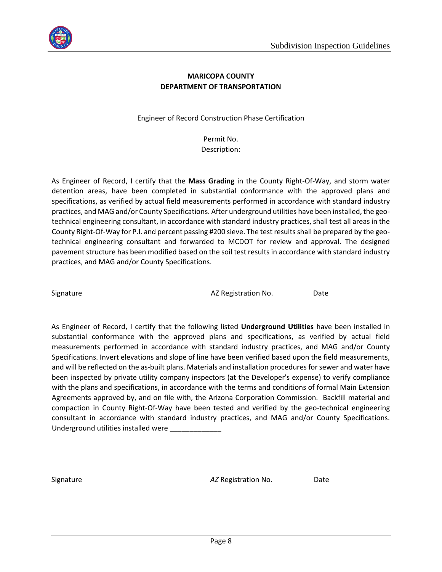

## **MARICOPA COUNTY DEPARTMENT OF TRANSPORTATION**

Engineer of Record Construction Phase Certification

Permit No. Description:

As Engineer of Record, I certify that the **Mass Grading** in the County Right-Of-Way, and storm water detention areas, have been completed in substantial conformance with the approved plans and specifications, as verified by actual field measurements performed in accordance with standard industry practices, and MAG and/or County Specifications. After underground utilities have been installed, the geotechnical engineering consultant, in accordance with standard industry practices, shall test all areas in the County Right-Of-Way for P.I. and percent passing #200 sieve. The test results shall be prepared by the geotechnical engineering consultant and forwarded to MCDOT for review and approval. The designed pavement structure has been modified based on the soil test results in accordance with standard industry practices, and MAG and/or County Specifications.

Signature **AZ Registration No.** Date

As Engineer of Record, I certify that the following listed **Underground Utilities** have been installed in substantial conformance with the approved plans and specifications, as verified by actual field measurements performed in accordance with standard industry practices, and MAG and/or County Specifications. Invert elevations and slope of line have been verified based upon the field measurements, and will be reflected on the as-built plans. Materials and installation procedures for sewer and water have been inspected by private utility company inspectors (at the Developer's expense) to verify compliance with the plans and specifications, in accordance with the terms and conditions of formal Main Extension Agreements approved by, and on file with, the Arizona Corporation Commission. Backfill material and compaction in County Right-Of-Way have been tested and verified by the geo-technical engineering consultant in accordance with standard industry practices, and MAG and/or County Specifications. Underground utilities installed were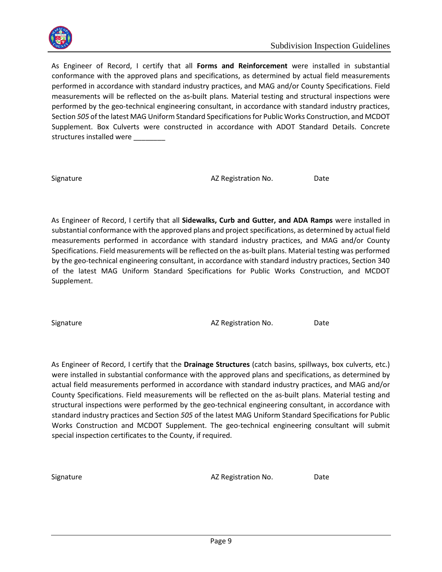

As Engineer of Record, I certify that all **Forms and Reinforcement** were installed in substantial conformance with the approved plans and specifications, as determined by actual field measurements performed in accordance with standard industry practices, and MAG and/or County Specifications. Field measurements will be reflected on the as-built plans. Material testing and structural inspections were performed by the geo-technical engineering consultant, in accordance with standard industry practices, Section *505* of the latest MAG Uniform Standard Specifications for Public Works Construction, and MCDOT Supplement. Box Culverts were constructed in accordance with ADOT Standard Details. Concrete structures installed were

Signature **AZ Registration No.** Date

As Engineer of Record, I certify that all **Sidewalks, Curb and Gutter, and ADA Ramps** were installed in substantial conformance with the approved plans and project specifications, as determined by actual field measurements performed in accordance with standard industry practices, and MAG and/or County Specifications. Field measurements will be reflected on the as-built plans. Material testing was performed by the geo-technical engineering consultant, in accordance with standard industry practices, Section 340 of the latest MAG Uniform Standard Specifications for Public Works Construction, and MCDOT Supplement.

Signature **AZ Registration No.** Date

As Engineer of Record, I certify that the **Drainage Structures** (catch basins, spillways, box culverts, etc.) were installed in substantial conformance with the approved plans and specifications, as determined by actual field measurements performed in accordance with standard industry practices, and MAG and/or County Specifications. Field measurements will be reflected on the as-built plans. Material testing and structural inspections were performed by the geo-technical engineering consultant, in accordance with standard industry practices and Section *505* of the latest MAG Uniform Standard Specifications for Public Works Construction and MCDOT Supplement. The geo-technical engineering consultant will submit special inspection certificates to the County, if required.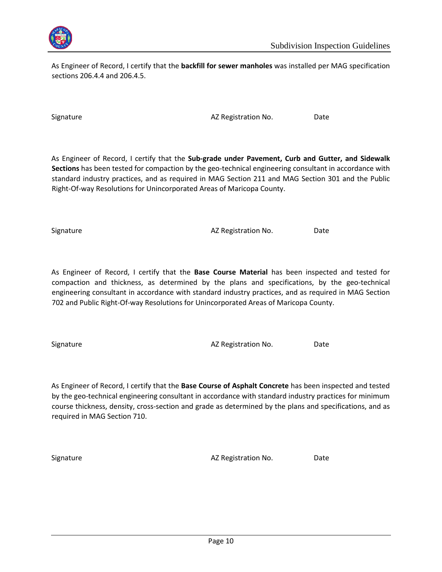

As Engineer of Record, I certify that the **backfill for sewer manholes** was installed per MAG specification sections 206.4.4 and 206.4.5.

Signature **AZ Registration No.** Date

As Engineer of Record, I certify that the **Sub-grade under Pavement, Curb and Gutter, and Sidewalk Sections** has been tested for compaction by the geo-technical engineering consultant in accordance with standard industry practices, and as required in MAG Section 211 and MAG Section 301 and the Public Right-Of-way Resolutions for Unincorporated Areas of Maricopa County.

Signature **AZ Registration No.** Date

As Engineer of Record, I certify that the **Base Course Material** has been inspected and tested for compaction and thickness, as determined by the plans and specifications, by the geo-technical engineering consultant in accordance with standard industry practices, and as required in MAG Section 702 and Public Right-Of-way Resolutions for Unincorporated Areas of Maricopa County.

Signature **AZ Registration No.** Date

As Engineer of Record, I certify that the **Base Course of Asphalt Concrete** has been inspected and tested by the geo-technical engineering consultant in accordance with standard industry practices for minimum course thickness, density, cross-section and grade as determined by the plans and specifications, and as required in MAG Section 710.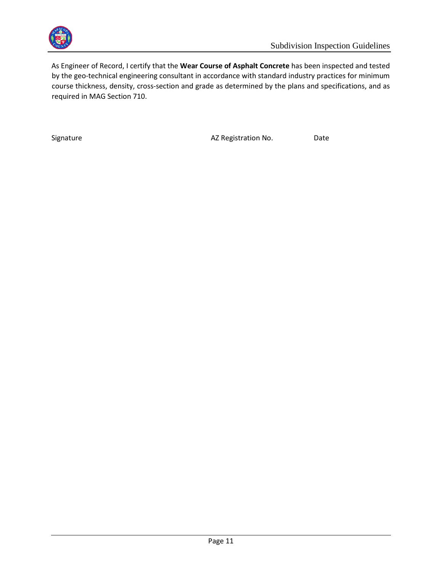

As Engineer of Record, I certify that the **Wear Course of Asphalt Concrete** has been inspected and tested by the geo-technical engineering consultant in accordance with standard industry practices for minimum course thickness, density, cross-section and grade as determined by the plans and specifications, and as required in MAG Section 710.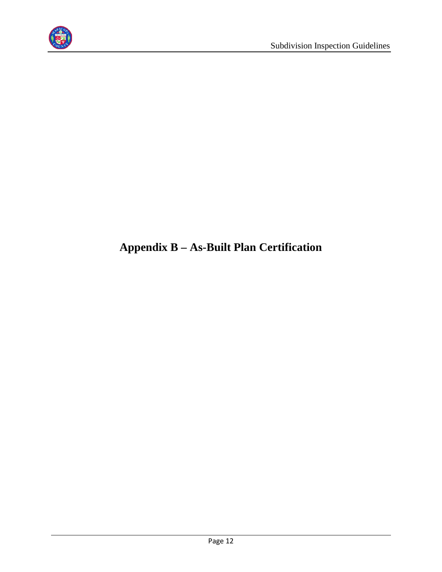

# <span id="page-12-0"></span>**Appendix B – As-Built Plan Certification**